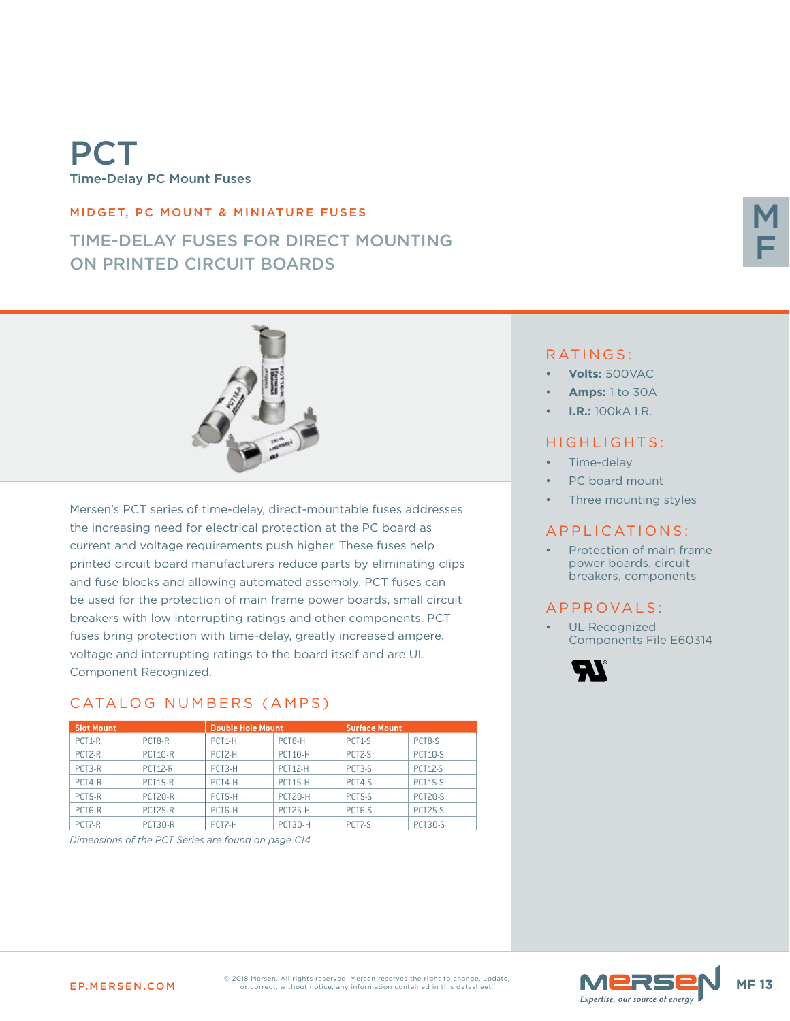# PCT Time-Delay PC Mount Fuses

#### MIDGET, PC MOUNT & MINIATURE FUSES

## TIME-DELAY FUSES FOR DIRECT MOUNTING ON PRINTED CIRCUIT BOARDS



Mersen's PCT series of time-delay, direct-mountable fuses addresses the increasing need for electrical protection at the PC board as current and voltage requirements push higher. These fuses help printed circuit board manufacturers reduce parts by eliminating clips and fuse blocks and allowing automated assembly. PCT fuses can be used for the protection of main frame power boards, small circuit breakers with low interrupting ratings and other components. PCT fuses bring protection with time-delay, greatly increased ampere, voltage and interrupting ratings to the board itself and are UL Component Recognized.

### CATALOG NUMBERS (AMPS)

| <b>Slot Mount</b>   |                | <b>Double Hole Mount</b> |                | <b>Surface Mount</b> |                    |
|---------------------|----------------|--------------------------|----------------|----------------------|--------------------|
| PCT <sub>1-R</sub>  | PCT8-R         | PCT <sub>1</sub> -H      | PCT8-H         | PCT <sub>1-S</sub>   | PCT <sub>8-S</sub> |
| PCT <sub>2-R</sub>  | <b>PCT10-R</b> | PCT <sub>2</sub> -H      | <b>PCT10-H</b> | PCT <sub>2-S</sub>   | <b>PCT10-S</b>     |
| PCT3-R              | <b>PCT12-R</b> | PCT3-H                   | <b>PCT12-H</b> | PCT3-S               | <b>PCT12-S</b>     |
| PCT4-R              | <b>PCT15-R</b> | PCT4-H                   | <b>PCT15-H</b> | PCT4-S               | <b>PCT15-S</b>     |
| PCT5-R              | <b>PCT20-R</b> | PCT5-H                   | <b>PCT20-H</b> | PCT5-S               | PCT20-S            |
| PCT <sub>6</sub> -R | <b>PCT25-R</b> | PCT6-H                   | <b>PCT25-H</b> | PCT <sub>6</sub> -S  | <b>PCT25-S</b>     |
| PCT <sub>7-R</sub>  | <b>PCT30-R</b> | PCT <sub>7</sub> -H      | <b>PCT30-H</b> | PCT <sub>7-S</sub>   | <b>PCT30-S</b>     |

*Dimensions of the PCT Series are found on page C14*

#### RATINGS:

- **• Volts:** 500VAC
- **• Amps:** 1 to 30A
- **• I.R.:** 100kA I.R.

#### HIGHLIGHTS:

- Time-delay
- PC board mount
- Three mounting styles

#### APPLICATIONS:

Protection of main frame power boards, circuit breakers, components

#### A P P R O V A L S :

UL Recognized Components File E60314